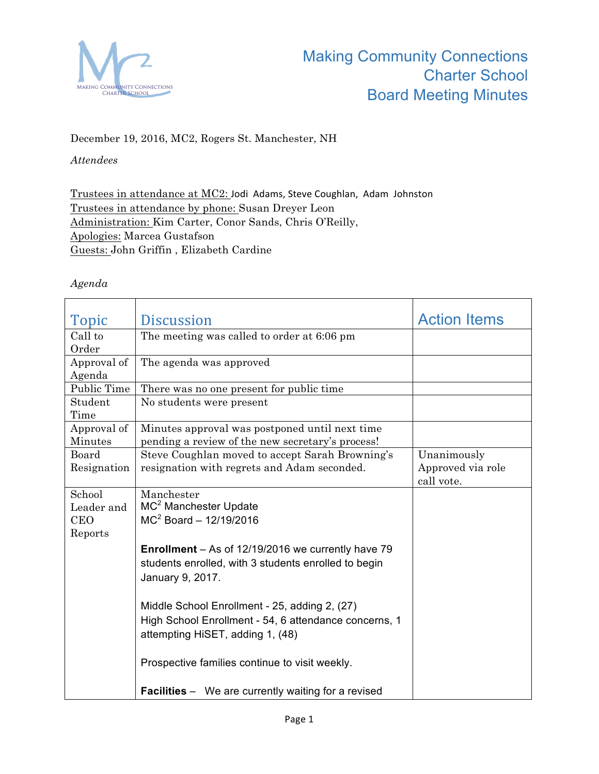

## December 19, 2016, MC2, Rogers St. Manchester, NH

## *Attendees*

Trustees in attendance at MC2: Jodi Adams, Steve Coughlan, Adam Johnston Trustees in attendance by phone: Susan Dreyer Leon Administration: Kim Carter, Conor Sands, Chris O'Reilly, Apologies: Marcea Gustafson Guests: John Griffin , Elizabeth Cardine

## *Agenda*

| Topic       | <b>Discussion</b>                                          | <b>Action Items</b> |
|-------------|------------------------------------------------------------|---------------------|
| Call to     | The meeting was called to order at 6:06 pm                 |                     |
| Order       |                                                            |                     |
| Approval of | The agenda was approved                                    |                     |
| Agenda      |                                                            |                     |
| Public Time | There was no one present for public time                   |                     |
| Student     | No students were present                                   |                     |
| Time        |                                                            |                     |
| Approval of | Minutes approval was postponed until next time             |                     |
| Minutes     | pending a review of the new secretary's process!           |                     |
| Board       | Steve Coughlan moved to accept Sarah Browning's            | Unanimously         |
| Resignation | resignation with regrets and Adam seconded.                | Approved via role   |
|             |                                                            | call vote.          |
| School      | Manchester                                                 |                     |
| Leader and  | MC <sup>2</sup> Manchester Update                          |                     |
| CEO         | $MC2$ Board - 12/19/2016                                   |                     |
| Reports     |                                                            |                     |
|             | <b>Enrollment</b> – As of 12/19/2016 we currently have 79  |                     |
|             | students enrolled, with 3 students enrolled to begin       |                     |
|             | January 9, 2017.                                           |                     |
|             |                                                            |                     |
|             | Middle School Enrollment - 25, adding 2, (27)              |                     |
|             | High School Enrollment - 54, 6 attendance concerns, 1      |                     |
|             |                                                            |                     |
|             | attempting HiSET, adding 1, (48)                           |                     |
|             |                                                            |                     |
|             | Prospective families continue to visit weekly.             |                     |
|             | <b>Facilities</b> – We are currently waiting for a revised |                     |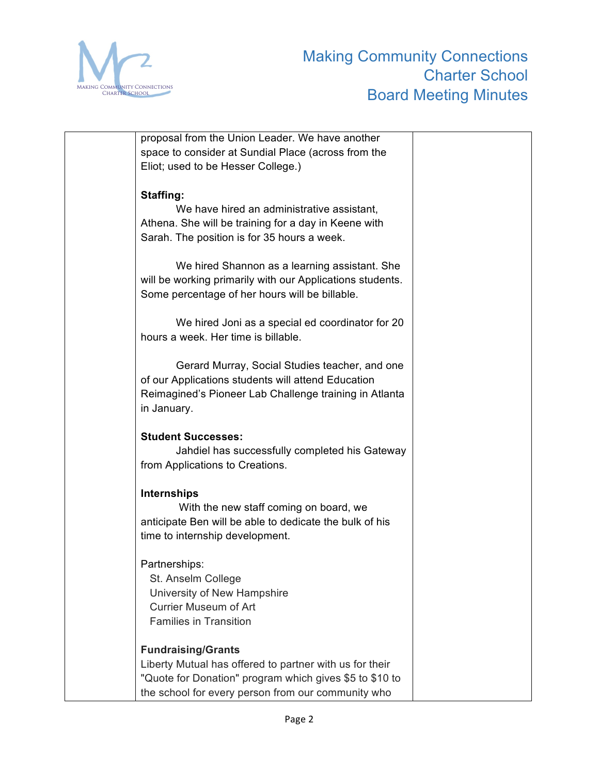

| proposal from the Union Leader. We have another           |  |
|-----------------------------------------------------------|--|
| space to consider at Sundial Place (across from the       |  |
| Eliot; used to be Hesser College.)                        |  |
|                                                           |  |
| <b>Staffing:</b>                                          |  |
| We have hired an administrative assistant,                |  |
| Athena. She will be training for a day in Keene with      |  |
| Sarah. The position is for 35 hours a week.               |  |
|                                                           |  |
| We hired Shannon as a learning assistant. She             |  |
| will be working primarily with our Applications students. |  |
| Some percentage of her hours will be billable.            |  |
|                                                           |  |
| We hired Joni as a special ed coordinator for 20          |  |
| hours a week. Her time is billable.                       |  |
| Gerard Murray, Social Studies teacher, and one            |  |
| of our Applications students will attend Education        |  |
| Reimagined's Pioneer Lab Challenge training in Atlanta    |  |
| in January.                                               |  |
|                                                           |  |
| <b>Student Successes:</b>                                 |  |
| Jahdiel has successfully completed his Gateway            |  |
| from Applications to Creations.                           |  |
|                                                           |  |
| <b>Internships</b>                                        |  |
| With the new staff coming on board, we                    |  |
| anticipate Ben will be able to dedicate the bulk of his   |  |
| time to internship development.                           |  |
|                                                           |  |
| Partnerships:                                             |  |
| St. Anselm College                                        |  |
| University of New Hampshire                               |  |
| <b>Currier Museum of Art</b>                              |  |
| <b>Families in Transition</b>                             |  |
|                                                           |  |
| <b>Fundraising/Grants</b>                                 |  |
| Liberty Mutual has offered to partner with us for their   |  |
| "Quote for Donation" program which gives \$5 to \$10 to   |  |
| the school for every person from our community who        |  |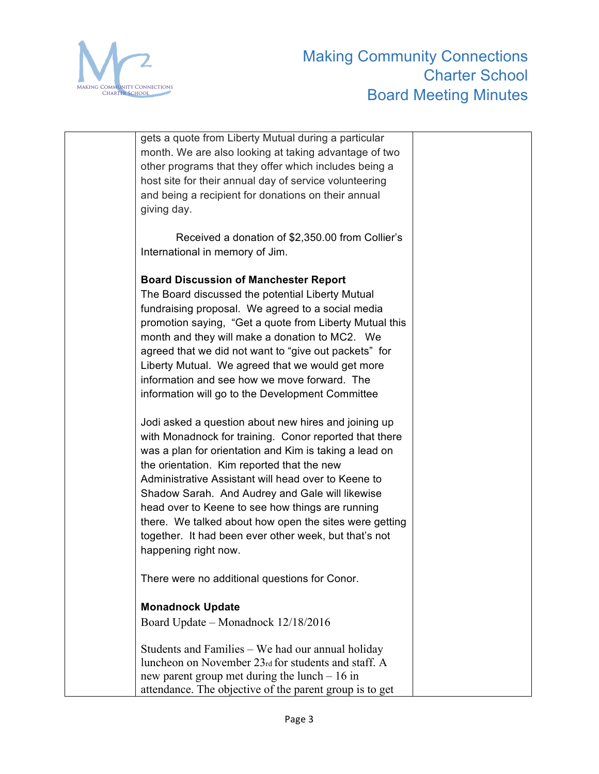

| gets a quote from Liberty Mutual during a particular<br>month. We are also looking at taking advantage of two<br>other programs that they offer which includes being a<br>host site for their annual day of service volunteering<br>and being a recipient for donations on their annual<br>giving day.                                                                                                                                                                                                                          |
|---------------------------------------------------------------------------------------------------------------------------------------------------------------------------------------------------------------------------------------------------------------------------------------------------------------------------------------------------------------------------------------------------------------------------------------------------------------------------------------------------------------------------------|
| Received a donation of \$2,350.00 from Collier's<br>International in memory of Jim.                                                                                                                                                                                                                                                                                                                                                                                                                                             |
| <b>Board Discussion of Manchester Report</b><br>The Board discussed the potential Liberty Mutual<br>fundraising proposal. We agreed to a social media<br>promotion saying, "Get a quote from Liberty Mutual this<br>month and they will make a donation to MC2. We<br>agreed that we did not want to "give out packets" for<br>Liberty Mutual. We agreed that we would get more<br>information and see how we move forward. The<br>information will go to the Development Committee                                             |
| Jodi asked a question about new hires and joining up<br>with Monadnock for training. Conor reported that there<br>was a plan for orientation and Kim is taking a lead on<br>the orientation. Kim reported that the new<br>Administrative Assistant will head over to Keene to<br>Shadow Sarah. And Audrey and Gale will likewise<br>head over to Keene to see how things are running<br>there. We talked about how open the sites were getting<br>together. It had been ever other week, but that's not<br>happening right now. |
| There were no additional questions for Conor.                                                                                                                                                                                                                                                                                                                                                                                                                                                                                   |
| <b>Monadnock Update</b><br>Board Update – Monadnock 12/18/2016                                                                                                                                                                                                                                                                                                                                                                                                                                                                  |
| Students and Families – We had our annual holiday<br>luncheon on November 23rd for students and staff. A<br>new parent group met during the lunch $-16$ in<br>attendance. The objective of the parent group is to get                                                                                                                                                                                                                                                                                                           |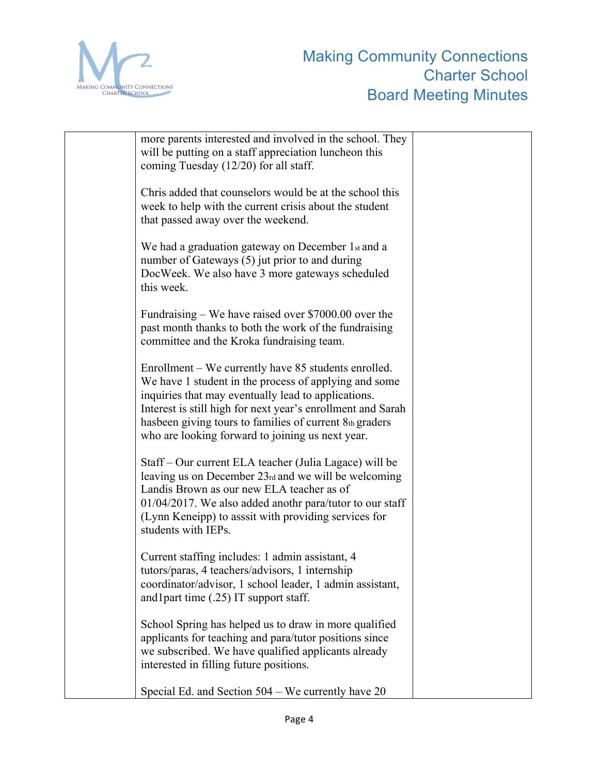

| more parents interested and involved in the school. They<br>will be putting on a staff appreciation luncheon this<br>coming Tuesday (12/20) for all staff.                                                                                                                                                                                         |  |
|----------------------------------------------------------------------------------------------------------------------------------------------------------------------------------------------------------------------------------------------------------------------------------------------------------------------------------------------------|--|
| Chris added that counselors would be at the school this<br>week to help with the current crisis about the student<br>that passed away over the weekend.                                                                                                                                                                                            |  |
| We had a graduation gateway on December 1st and a<br>number of Gateways (5) jut prior to and during<br>DocWeek. We also have 3 more gateways scheduled<br>this week.                                                                                                                                                                               |  |
| Fundraising $-$ We have raised over \$7000.00 over the<br>past month thanks to both the work of the fundraising<br>committee and the Kroka fundraising team.                                                                                                                                                                                       |  |
| Enrollment – We currently have 85 students enrolled.<br>We have 1 student in the process of applying and some<br>inquiries that may eventually lead to applications.<br>Interest is still high for next year's enrollment and Sarah<br>hasbeen giving tours to families of current 8th graders<br>who are looking forward to joining us next year. |  |
| Staff – Our current ELA teacher (Julia Lagace) will be<br>leaving us on December 23rd and we will be welcoming<br>Landis Brown as our new ELA teacher as of<br>01/04/2017. We also added anothr para/tutor to our staff<br>(Lynn Keneipp) to asssit with providing services for<br>students with IEPs.                                             |  |
| Current staffing includes: 1 admin assistant, 4<br>tutors/paras, 4 teachers/advisors, 1 internship<br>coordinator/advisor, 1 school leader, 1 admin assistant,<br>and 1 part time (.25) IT support staff.                                                                                                                                          |  |
| School Spring has helped us to draw in more qualified<br>applicants for teaching and para/tutor positions since<br>we subscribed. We have qualified applicants already<br>interested in filling future positions.                                                                                                                                  |  |
| Special Ed. and Section 504 – We currently have 20                                                                                                                                                                                                                                                                                                 |  |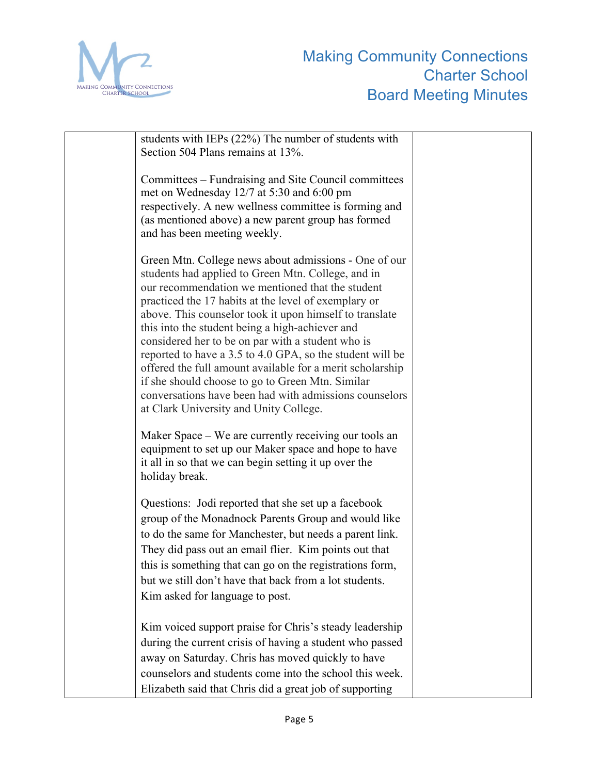

| students with IEPs (22%) The number of students with<br>Section 504 Plans remains at 13%.                                                                                                                                                                                                                                                                                                                                                                                                                                                                                                                                                                                    |  |
|------------------------------------------------------------------------------------------------------------------------------------------------------------------------------------------------------------------------------------------------------------------------------------------------------------------------------------------------------------------------------------------------------------------------------------------------------------------------------------------------------------------------------------------------------------------------------------------------------------------------------------------------------------------------------|--|
| Committees – Fundraising and Site Council committees<br>met on Wednesday 12/7 at 5:30 and 6:00 pm<br>respectively. A new wellness committee is forming and<br>(as mentioned above) a new parent group has formed<br>and has been meeting weekly.                                                                                                                                                                                                                                                                                                                                                                                                                             |  |
| Green Mtn. College news about admissions - One of our<br>students had applied to Green Mtn. College, and in<br>our recommendation we mentioned that the student<br>practiced the 17 habits at the level of exemplary or<br>above. This counselor took it upon himself to translate<br>this into the student being a high-achiever and<br>considered her to be on par with a student who is<br>reported to have a 3.5 to 4.0 GPA, so the student will be<br>offered the full amount available for a merit scholarship<br>if she should choose to go to Green Mtn. Similar<br>conversations have been had with admissions counselors<br>at Clark University and Unity College. |  |
| Maker Space – We are currently receiving our tools an<br>equipment to set up our Maker space and hope to have<br>it all in so that we can begin setting it up over the<br>holiday break.                                                                                                                                                                                                                                                                                                                                                                                                                                                                                     |  |
| Questions: Jodi reported that she set up a facebook<br>group of the Monadnock Parents Group and would like<br>to do the same for Manchester, but needs a parent link.<br>They did pass out an email flier. Kim points out that<br>this is something that can go on the registrations form,<br>but we still don't have that back from a lot students.<br>Kim asked for language to post.                                                                                                                                                                                                                                                                                      |  |
| Kim voiced support praise for Chris's steady leadership<br>during the current crisis of having a student who passed<br>away on Saturday. Chris has moved quickly to have<br>counselors and students come into the school this week.<br>Elizabeth said that Chris did a great job of supporting                                                                                                                                                                                                                                                                                                                                                                               |  |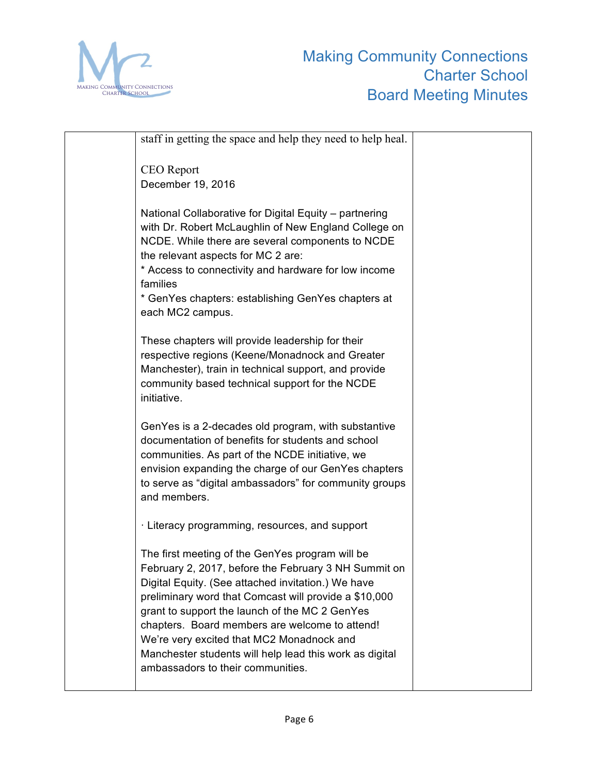

| staff in getting the space and help they need to help heal.                                                                                                                                                                                                                                                                                                                                                                                                             |  |
|-------------------------------------------------------------------------------------------------------------------------------------------------------------------------------------------------------------------------------------------------------------------------------------------------------------------------------------------------------------------------------------------------------------------------------------------------------------------------|--|
| <b>CEO</b> Report                                                                                                                                                                                                                                                                                                                                                                                                                                                       |  |
| December 19, 2016                                                                                                                                                                                                                                                                                                                                                                                                                                                       |  |
| National Collaborative for Digital Equity - partnering<br>with Dr. Robert McLaughlin of New England College on<br>NCDE. While there are several components to NCDE<br>the relevant aspects for MC 2 are:<br>* Access to connectivity and hardware for low income<br>families<br>* GenYes chapters: establishing GenYes chapters at<br>each MC2 campus.                                                                                                                  |  |
| These chapters will provide leadership for their<br>respective regions (Keene/Monadnock and Greater<br>Manchester), train in technical support, and provide<br>community based technical support for the NCDE<br>initiative.                                                                                                                                                                                                                                            |  |
| GenYes is a 2-decades old program, with substantive<br>documentation of benefits for students and school<br>communities. As part of the NCDE initiative, we<br>envision expanding the charge of our GenYes chapters<br>to serve as "digital ambassadors" for community groups<br>and members.                                                                                                                                                                           |  |
| · Literacy programming, resources, and support                                                                                                                                                                                                                                                                                                                                                                                                                          |  |
| The first meeting of the GenYes program will be<br>February 2, 2017, before the February 3 NH Summit on<br>Digital Equity. (See attached invitation.) We have<br>preliminary word that Comcast will provide a \$10,000<br>grant to support the launch of the MC 2 GenYes<br>chapters. Board members are welcome to attend!<br>We're very excited that MC2 Monadnock and<br>Manchester students will help lead this work as digital<br>ambassadors to their communities. |  |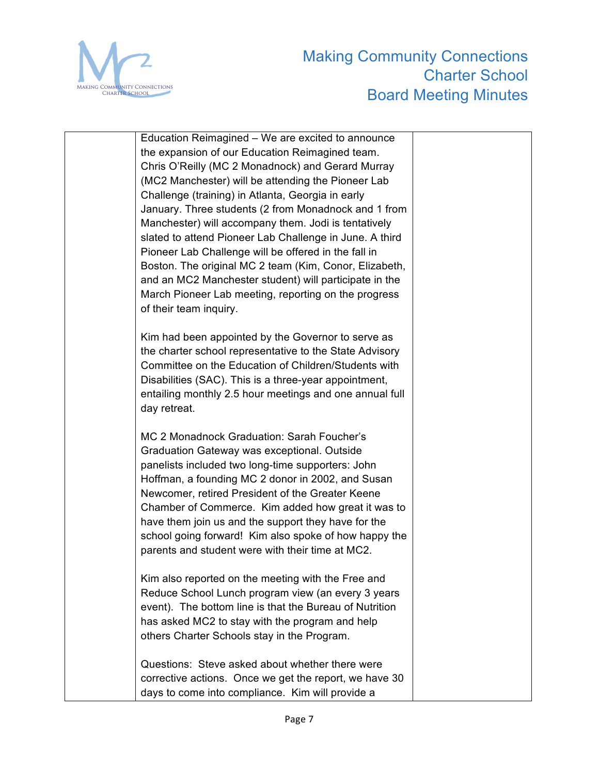

| Education Reimagined – We are excited to announce       |  |
|---------------------------------------------------------|--|
| the expansion of our Education Reimagined team.         |  |
| Chris O'Reilly (MC 2 Monadnock) and Gerard Murray       |  |
| (MC2 Manchester) will be attending the Pioneer Lab      |  |
| Challenge (training) in Atlanta, Georgia in early       |  |
| January. Three students (2 from Monadnock and 1 from    |  |
| Manchester) will accompany them. Jodi is tentatively    |  |
| slated to attend Pioneer Lab Challenge in June. A third |  |
| Pioneer Lab Challenge will be offered in the fall in    |  |
| Boston. The original MC 2 team (Kim, Conor, Elizabeth,  |  |
| and an MC2 Manchester student) will participate in the  |  |
| March Pioneer Lab meeting, reporting on the progress    |  |
| of their team inquiry.                                  |  |
|                                                         |  |
| Kim had been appointed by the Governor to serve as      |  |
| the charter school representative to the State Advisory |  |
| Committee on the Education of Children/Students with    |  |
| Disabilities (SAC). This is a three-year appointment,   |  |
| entailing monthly 2.5 hour meetings and one annual full |  |
| day retreat.                                            |  |
| MC 2 Monadnock Graduation: Sarah Foucher's              |  |
| Graduation Gateway was exceptional. Outside             |  |
| panelists included two long-time supporters: John       |  |
| Hoffman, a founding MC 2 donor in 2002, and Susan       |  |
| Newcomer, retired President of the Greater Keene        |  |
| Chamber of Commerce. Kim added how great it was to      |  |
| have them join us and the support they have for the     |  |
| school going forward! Kim also spoke of how happy the   |  |
| parents and student were with their time at MC2.        |  |
|                                                         |  |
| Kim also reported on the meeting with the Free and      |  |
| Reduce School Lunch program view (an every 3 years      |  |
| event). The bottom line is that the Bureau of Nutrition |  |
| has asked MC2 to stay with the program and help         |  |
| others Charter Schools stay in the Program.             |  |
| Questions: Steve asked about whether there were         |  |
| corrective actions. Once we get the report, we have 30  |  |
| days to come into compliance. Kim will provide a        |  |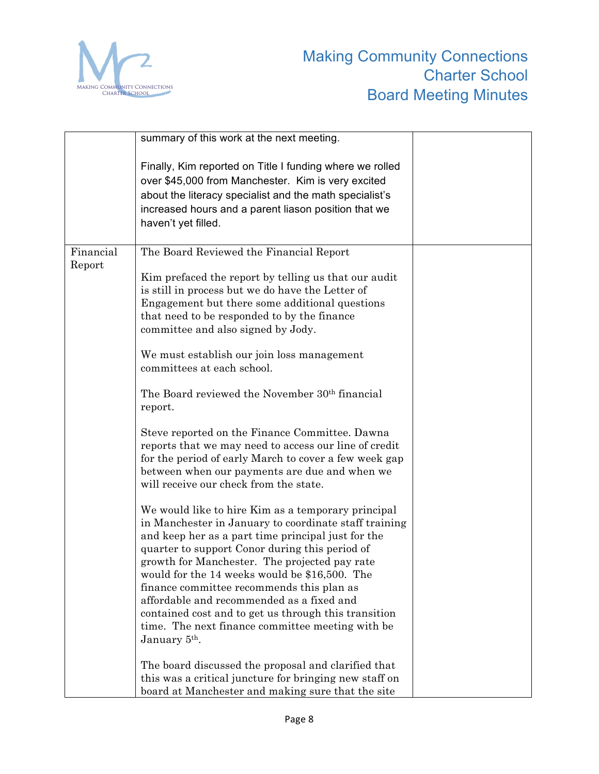

|           | summary of this work at the next meeting.                                                                                                                                                                                                                                                                                                                                                                                                                                                                                                                |  |
|-----------|----------------------------------------------------------------------------------------------------------------------------------------------------------------------------------------------------------------------------------------------------------------------------------------------------------------------------------------------------------------------------------------------------------------------------------------------------------------------------------------------------------------------------------------------------------|--|
|           | Finally, Kim reported on Title I funding where we rolled<br>over \$45,000 from Manchester. Kim is very excited<br>about the literacy specialist and the math specialist's<br>increased hours and a parent liason position that we<br>haven't yet filled.                                                                                                                                                                                                                                                                                                 |  |
| Financial | The Board Reviewed the Financial Report                                                                                                                                                                                                                                                                                                                                                                                                                                                                                                                  |  |
| Report    | Kim prefaced the report by telling us that our audit<br>is still in process but we do have the Letter of<br>Engagement but there some additional questions<br>that need to be responded to by the finance<br>committee and also signed by Jody.                                                                                                                                                                                                                                                                                                          |  |
|           | We must establish our join loss management<br>committees at each school.                                                                                                                                                                                                                                                                                                                                                                                                                                                                                 |  |
|           | The Board reviewed the November 30 <sup>th</sup> financial<br>report.                                                                                                                                                                                                                                                                                                                                                                                                                                                                                    |  |
|           | Steve reported on the Finance Committee. Dawna<br>reports that we may need to access our line of credit<br>for the period of early March to cover a few week gap<br>between when our payments are due and when we<br>will receive our check from the state.                                                                                                                                                                                                                                                                                              |  |
|           | We would like to hire Kim as a temporary principal<br>in Manchester in January to coordinate staff training<br>and keep her as a part time principal just for the<br>quarter to support Conor during this period of<br>growth for Manchester. The projected pay rate<br>would for the 14 weeks would be \$16,500. The<br>finance committee recommends this plan as<br>affordable and recommended as a fixed and<br>contained cost and to get us through this transition<br>time. The next finance committee meeting with be<br>January 5 <sup>th</sup> . |  |
|           | The board discussed the proposal and clarified that<br>this was a critical juncture for bringing new staff on<br>board at Manchester and making sure that the site                                                                                                                                                                                                                                                                                                                                                                                       |  |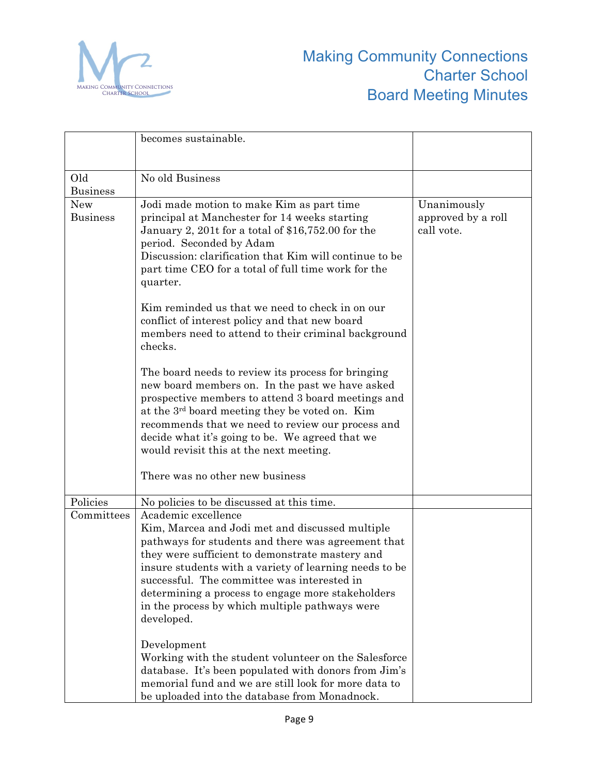

|                               | becomes sustainable.                                                                                                                                                                                                                                                                                                                                                                                                                                                  |                                                 |
|-------------------------------|-----------------------------------------------------------------------------------------------------------------------------------------------------------------------------------------------------------------------------------------------------------------------------------------------------------------------------------------------------------------------------------------------------------------------------------------------------------------------|-------------------------------------------------|
| Old<br><b>Business</b>        | No old Business                                                                                                                                                                                                                                                                                                                                                                                                                                                       |                                                 |
| <b>New</b><br><b>Business</b> | Jodi made motion to make Kim as part time<br>principal at Manchester for 14 weeks starting<br>January 2, 201t for a total of \$16,752.00 for the<br>period. Seconded by Adam<br>Discussion: clarification that Kim will continue to be<br>part time CEO for a total of full time work for the<br>quarter.<br>Kim reminded us that we need to check in on our<br>conflict of interest policy and that new board<br>members need to attend to their criminal background | Unanimously<br>approved by a roll<br>call vote. |
|                               | checks.<br>The board needs to review its process for bringing<br>new board members on. In the past we have asked<br>prospective members to attend 3 board meetings and<br>at the 3 <sup>rd</sup> board meeting they be voted on. Kim<br>recommends that we need to review our process and<br>decide what it's going to be. We agreed that we<br>would revisit this at the next meeting.<br>There was no other new business                                            |                                                 |
| Policies<br>Committees        | No policies to be discussed at this time.<br>Academic excellence<br>Kim, Marcea and Jodi met and discussed multiple<br>pathways for students and there was agreement that<br>they were sufficient to demonstrate mastery and<br>insure students with a variety of learning needs to be<br>successful. The committee was interested in<br>determining a process to engage more stakeholders<br>in the process by which multiple pathways were<br>developed.            |                                                 |
|                               | Development<br>Working with the student volunteer on the Salesforce<br>database. It's been populated with donors from Jim's<br>memorial fund and we are still look for more data to<br>be uploaded into the database from Monadnock.                                                                                                                                                                                                                                  |                                                 |